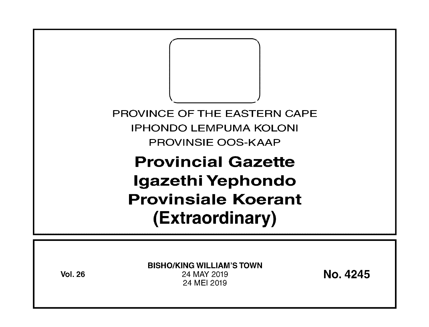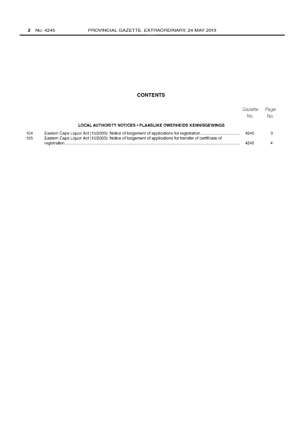# **CONTENTS**

|            |                                                                                                       | Gazette<br>No. | Page<br>No. |
|------------|-------------------------------------------------------------------------------------------------------|----------------|-------------|
|            | LOCAL AUTHORITY NOTICES • PLAASLIKE OWERHEIDS KENNISGEWINGS                                           |                |             |
| 104<br>105 | Eastern Cape Liquor Act (10/2003): Notice of lodgement of applications for transfer of certificate of | 4245           |             |
|            | 4245                                                                                                  |                |             |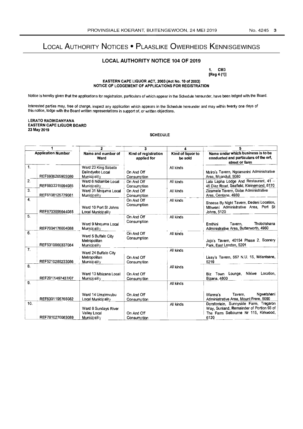# LOCAL AUTHORITY NOTICES • PLAASLIKE OWERHEIDS KENNISGEWINGS

# LOCAL AUTHORITY NOTICE 104 OF 2019

1. CM3

[Reg 4 (1)]

### EASTERN CAPE LIQUOR ACT, 2003 (Act No. 10 of 2003) NOTICE OF LODGEMENT OF APPLICATIONS FOR REGISTRATION

Notice is hereby given that the applications for registration, particulars of which appear in the Schedule hereunder, have been lodged with the Board.

Interested parties may, free of charge, inspect any application which appears in the Schedule hereunder and may within twenty one days of this notice, lodge with the Board written representations in support of, or written objections.

#### LERATO RADIKOANYANA EASTERN CAPE LIQUOR BOARD 23 May 2019

#### **SCHEDULE**

|                           | <b>SCHEDULE</b>                      |                                                                  |                                          |                                   |                                                                                                                                   |  |  |  |  |
|---------------------------|--------------------------------------|------------------------------------------------------------------|------------------------------------------|-----------------------------------|-----------------------------------------------------------------------------------------------------------------------------------|--|--|--|--|
| <b>Application Number</b> |                                      | 2<br>Name and number of<br>Ward                                  | 3<br>Kind of registration<br>applied for | 4<br>Kind of liquor to<br>be sold | Name under which business is to be<br>conducted and particulars of the erf,<br>street or farm                                     |  |  |  |  |
| $\mathbf{1}$ .            | REF6906265903080                     | Ward 23 King Sabata<br>Dalindvebo Local<br>Municipality          | On And Off<br>Consumption                | All kinds                         | Mziro's Tavern, Ngcananini Administrative<br>Area, Moanduli, 5080                                                                 |  |  |  |  |
| 2.<br>3.                  | REF8803315094085                     | Ward 6 Ndlambe Local<br>Municipality<br>Ward 31 Mnguma Local     | On And Off<br>Consumption<br>On And Off  | All kinds<br>All kinds            | Lala Lapha Lodge And Restaurant, 41 -<br>45 Diaz Road, Seafield, Kleinemond, 6170<br>Zizamele Tavern, Gobe Administrative         |  |  |  |  |
| 4.                        | REF6108125779081                     | Municipality<br>Ward 10 Port St Johns                            | Consumption<br>On And Off<br>Consumption | All kinds                         | Area, Centane, 4980<br>Sheesa By Night Tavern, Dedeni Location,<br>Mthweni Administrative Area, Port St                           |  |  |  |  |
| 5.                        | REF8703095644085<br>REF7004176004088 | <b>Local Municipality</b><br>Ward 9 Mnquma Local<br>Municipality | On And Off<br>Consumption                | All kinds                         | Johns, 5120<br>Thobotshana<br>Emthini<br>Tavern.<br>Administrative Area, Butterworth, 4960                                        |  |  |  |  |
| 6.                        | REF5310060337084                     | Ward 5 Buffalo City<br>Metropolitan<br>Municipality              | On And Off<br>Consumption                | All kinds                         | Joio's Tavern, 40154 Phase 2, Scenery<br>Park, East London, 5201                                                                  |  |  |  |  |
| 7.                        | REF5210285233086                     | Ward 24 Buffalo City<br>Metropolitan<br>Municipality             | On And Off<br>Consumption                | All kinds                         | Lissy's Tavern, 567 N.U. 15, Mdantsane,<br>5219                                                                                   |  |  |  |  |
| 8.                        | REF2017/497437/07                    | Ward 13 Mbizana Local<br>Municipality                            | On And Off<br>Consumption                | All kinds                         | Nikiwe Location.<br>Biz Town Lounge,<br>Bizana, 4800                                                                              |  |  |  |  |
| 9.                        | REF6301195765082                     | Ward 14 Umzimvubu<br>Local Municipality                          | On And Off<br>Consumption                | All kinds                         | Ngwetsheni<br>Tavern.<br>Wanna's<br>Administrative Area, Mount Frere, 5090                                                        |  |  |  |  |
| 10.                       | REF7810270063089                     | Ward 6 Sundays River<br>Valley Local<br>Municipality             | On And Off<br>Consumption                | All kinds                         | Dorsfontein, Sunnyside Farm, Tregaron<br>Way, Sunland, Remainder of Portion 93 of<br>The Farm Selbourne Nr 115, Kirkwood,<br>6120 |  |  |  |  |